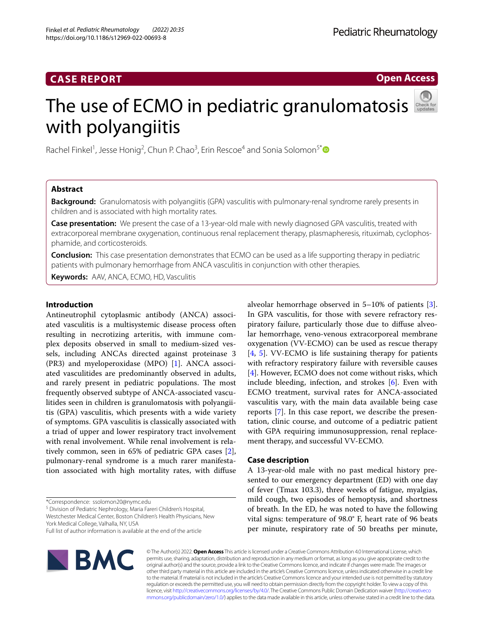**Open Access**

# The use of ECMO in pediatric granulomatosis with polyangiitis

Rachel Finkel<sup>1</sup>, Jesse Honig<sup>2</sup>, Chun P. Chao<sup>3</sup>, Erin Rescoe<sup>4</sup> and Sonia Solomon<sup>5\*</sup><sup>®</sup>

## **Abstract**

**Background:** Granulomatosis with polyangiitis (GPA) vasculitis with pulmonary-renal syndrome rarely presents in children and is associated with high mortality rates.

**Case presentation:** We present the case of a 13-year-old male with newly diagnosed GPA vasculitis, treated with extracorporeal membrane oxygenation, continuous renal replacement therapy, plasmapheresis, rituximab, cyclophosphamide, and corticosteroids.

**Conclusion:** This case presentation demonstrates that ECMO can be used as a life supporting therapy in pediatric patients with pulmonary hemorrhage from ANCA vasculitis in conjunction with other therapies.

**Keywords:** AAV, ANCA, ECMO, HD, Vasculitis

## **Introduction**

Antineutrophil cytoplasmic antibody (ANCA) associated vasculitis is a multisystemic disease process often resulting in necrotizing arteritis, with immune complex deposits observed in small to medium-sized vessels, including ANCAs directed against proteinase 3 (PR3) and myeloperoxidase (MPO) [\[1](#page-4-0)]. ANCA associated vasculitides are predominantly observed in adults, and rarely present in pediatric populations. The most frequently observed subtype of ANCA-associated vasculitides seen in children is granulomatosis with polyangiitis (GPA) vasculitis, which presents with a wide variety of symptoms. GPA vasculitis is classically associated with a triad of upper and lower respiratory tract involvement with renal involvement. While renal involvement is relatively common, seen in 65% of pediatric GPA cases [\[2](#page-4-1)], pulmonary-renal syndrome is a much rarer manifestation associated with high mortality rates, with difuse

\*Correspondence: ssolomon20@nymc.edu

<sup>5</sup> Division of Pediatric Nephrology, Maria Fareri Children's Hospital, Westchester Medical Center, Boston Children's Health Physicians, New

York Medical College, Valhalla, NY, USA

Full list of author information is available at the end of the article



alveolar hemorrhage observed in 5–10% of patients [\[3](#page-4-2)]. In GPA vasculitis, for those with severe refractory respiratory failure, particularly those due to difuse alveolar hemorrhage, veno-venous extracorporeal membrane oxygenation (VV-ECMO) can be used as rescue therapy [[4,](#page-4-3) [5\]](#page-4-4). VV-ECMO is life sustaining therapy for patients with refractory respiratory failure with reversible causes [[4\]](#page-4-3). However, ECMO does not come without risks, which include bleeding, infection, and strokes [\[6](#page-4-5)]. Even with ECMO treatment, survival rates for ANCA-associated vasculitis vary, with the main data available being case reports [\[7](#page-4-6)]. In this case report, we describe the presentation, clinic course, and outcome of a pediatric patient with GPA requiring immunosuppression, renal replacement therapy, and successful VV-ECMO.

## **Case description**

A 13-year-old male with no past medical history presented to our emergency department (ED) with one day of fever (Tmax 103.3), three weeks of fatigue, myalgias, mild cough, two episodes of hemoptysis, and shortness of breath. In the ED, he was noted to have the following vital signs: temperature of 98.0° F, heart rate of 96 beats per minute, respiratory rate of 50 breaths per minute,

© The Author(s) 2022. **Open Access** This article is licensed under a Creative Commons Attribution 4.0 International License, which permits use, sharing, adaptation, distribution and reproduction in any medium or format, as long as you give appropriate credit to the original author(s) and the source, provide a link to the Creative Commons licence, and indicate if changes were made. The images or other third party material in this article are included in the article's Creative Commons licence, unless indicated otherwise in a credit line to the material. If material is not included in the article's Creative Commons licence and your intended use is not permitted by statutory regulation or exceeds the permitted use, you will need to obtain permission directly from the copyright holder. To view a copy of this licence, visit [http://creativecommons.org/licenses/by/4.0/.](http://creativecommons.org/licenses/by/4.0/) The Creative Commons Public Domain Dedication waiver ([http://creativeco](http://creativecommons.org/publicdomain/zero/1.0/) [mmons.org/publicdomain/zero/1.0/](http://creativecommons.org/publicdomain/zero/1.0/)) applies to the data made available in this article, unless otherwise stated in a credit line to the data.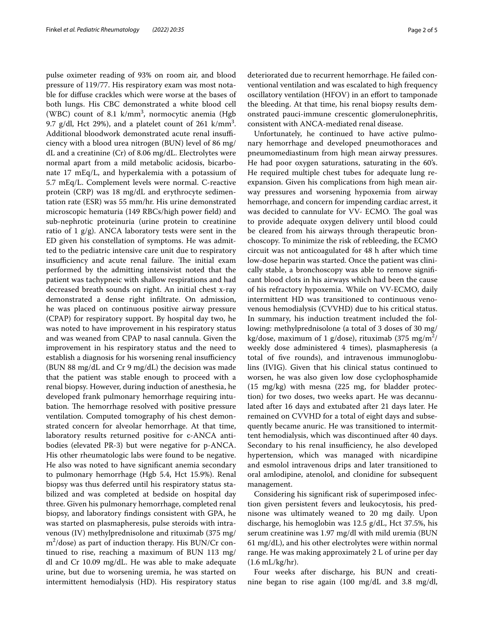pulse oximeter reading of 93% on room air, and blood pressure of 119/77. His respiratory exam was most notable for difuse crackles which were worse at the bases of both lungs. His CBC demonstrated a white blood cell (WBC) count of 8.1  $\text{k/mm}^3$ , normocytic anemia (Hgb 9.7 g/dl, Hct 29%), and a platelet count of 261  $\text{k/mm}^3$ . Additional bloodwork demonstrated acute renal insufficiency with a blood urea nitrogen (BUN) level of 86 mg/ dL and a creatinine (Cr) of 8.06 mg/dL. Electrolytes were normal apart from a mild metabolic acidosis, bicarbonate 17 mEq/L, and hyperkalemia with a potassium of 5.7 mEq/L. Complement levels were normal. C-reactive protein (CRP) was 18 mg/dL and erythrocyte sedimentation rate (ESR) was 55 mm/hr. His urine demonstrated microscopic hematuria (149 RBCs/high power feld) and sub-nephrotic proteinuria (urine protein to creatinine ratio of 1 g/g). ANCA laboratory tests were sent in the ED given his constellation of symptoms. He was admitted to the pediatric intensive care unit due to respiratory insufficiency and acute renal failure. The initial exam performed by the admitting intensivist noted that the patient was tachypneic with shallow respirations and had decreased breath sounds on right. An initial chest x-ray demonstrated a dense right infltrate. On admission, he was placed on continuous positive airway pressure (CPAP) for respiratory support. By hospital day two, he was noted to have improvement in his respiratory status and was weaned from CPAP to nasal cannula. Given the improvement in his respiratory status and the need to establish a diagnosis for his worsening renal insufficiency (BUN 88 mg/dL and Cr 9 mg/dL) the decision was made that the patient was stable enough to proceed with a renal biopsy. However, during induction of anesthesia, he developed frank pulmonary hemorrhage requiring intubation. The hemorrhage resolved with positive pressure ventilation. Computed tomography of his chest demonstrated concern for alveolar hemorrhage. At that time, laboratory results returned positive for c-ANCA antibodies (elevated PR-3) but were negative for p-ANCA. His other rheumatologic labs were found to be negative. He also was noted to have signifcant anemia secondary to pulmonary hemorrhage (Hgb 5.4, Hct 15.9%). Renal biopsy was thus deferred until his respiratory status stabilized and was completed at bedside on hospital day three. Given his pulmonary hemorrhage, completed renal biopsy, and laboratory fndings consistent with GPA, he was started on plasmapheresis, pulse steroids with intravenous (IV) methylprednisolone and rituximab (375 mg/ m2 /dose) as part of induction therapy. His BUN/Cr continued to rise, reaching a maximum of BUN 113 mg/ dl and Cr 10.09 mg/dL. He was able to make adequate urine, but due to worsening uremia, he was started on intermittent hemodialysis (HD). His respiratory status

deteriorated due to recurrent hemorrhage. He failed conventional ventilation and was escalated to high frequency oscillatory ventilation (HFOV) in an effort to tamponade the bleeding. At that time, his renal biopsy results demonstrated pauci-immune crescentic glomerulonephritis, consistent with ANCA-mediated renal disease.

Unfortunately, he continued to have active pulmonary hemorrhage and developed pneumothoraces and pneumomediastinum from high mean airway pressures. He had poor oxygen saturations, saturating in the 60's. He required multiple chest tubes for adequate lung reexpansion. Given his complications from high mean airway pressures and worsening hypoxemia from airway hemorrhage, and concern for impending cardiac arrest, it was decided to cannulate for VV- ECMO. The goal was to provide adequate oxygen delivery until blood could be cleared from his airways through therapeutic bronchoscopy. To minimize the risk of rebleeding, the ECMO circuit was not anticoagulated for 48 h after which time low-dose heparin was started. Once the patient was clinically stable, a bronchoscopy was able to remove signifcant blood clots in his airways which had been the cause of his refractory hypoxemia. While on VV-ECMO, daily intermittent HD was transitioned to continuous venovenous hemodialysis (CVVHD) due to his critical status. In summary, his induction treatment included the following: methylprednisolone (a total of 3 doses of 30 mg/ kg/dose, maximum of 1 g/dose), rituximab (375 mg/m<sup>2</sup>/ weekly dose administered 4 times), plasmapheresis (a total of fve rounds), and intravenous immunoglobulins (IVIG). Given that his clinical status continued to worsen, he was also given low dose cyclophosphamide (15 mg/kg) with mesna (225 mg, for bladder protection) for two doses, two weeks apart. He was decannulated after 16 days and extubated after 21 days later. He remained on CVVHD for a total of eight days and subsequently became anuric. He was transitioned to intermittent hemodialysis, which was discontinued after 40 days. Secondary to his renal insufficiency, he also developed hypertension, which was managed with nicardipine and esmolol intravenous drips and later transitioned to oral amlodipine, atenolol, and clonidine for subsequent management.

Considering his signifcant risk of superimposed infection given persistent fevers and leukocytosis, his prednisone was ultimately weaned to 20 mg daily. Upon discharge, his hemoglobin was 12.5 g/dL, Hct 37.5%, his serum creatinine was 1.97 mg/dl with mild uremia (BUN 61 mg/dL), and his other electrolytes were within normal range. He was making approximately 2 L of urine per day (1.6 mL/kg/hr).

Four weeks after discharge, his BUN and creatinine began to rise again (100 mg/dL and 3.8 mg/dl,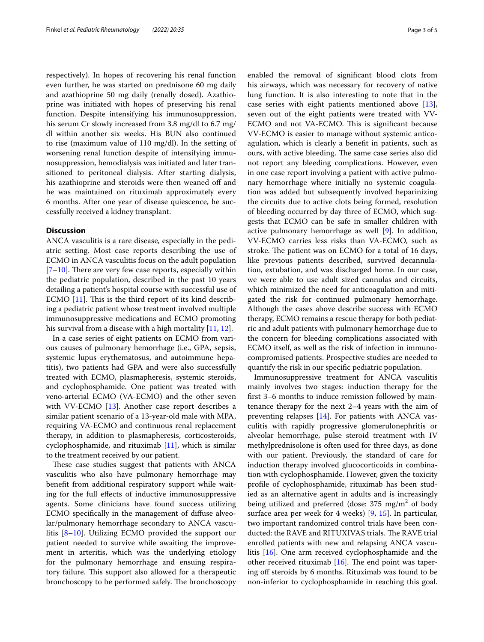respectively). In hopes of recovering his renal function even further, he was started on prednisone 60 mg daily and azathioprine 50 mg daily (renally dosed). Azathioprine was initiated with hopes of preserving his renal function. Despite intensifying his immunosuppression, his serum Cr slowly increased from 3.8 mg/dl to 6.7 mg/ dl within another six weeks. His BUN also continued to rise (maximum value of 110 mg/dl). In the setting of worsening renal function despite of intensifying immunosuppression, hemodialysis was initiated and later transitioned to peritoneal dialysis. After starting dialysis, his azathioprine and steroids were then weaned off and he was maintained on rituximab approximately every 6 months. After one year of disease quiescence, he successfully received a kidney transplant.

## **Discussion**

ANCA vasculitis is a rare disease, especially in the pediatric setting. Most case reports describing the use of ECMO in ANCA vasculitis focus on the adult population  $[7–10]$  $[7–10]$  $[7–10]$ . There are very few case reports, especially within the pediatric population, described in the past 10 years detailing a patient's hospital course with successful use of ECMO  $[11]$  $[11]$ . This is the third report of its kind describing a pediatric patient whose treatment involved multiple immunosuppressive medications and ECMO promoting his survival from a disease with a high mortality [\[11](#page-4-8), [12](#page-4-9)].

In a case series of eight patients on ECMO from various causes of pulmonary hemorrhage (i.e., GPA, sepsis, systemic lupus erythematosus, and autoimmune hepatitis), two patients had GPA and were also successfully treated with ECMO, plasmapheresis, systemic steroids, and cyclophosphamide. One patient was treated with veno-arterial ECMO (VA-ECMO) and the other seven with VV-ECMO [\[13\]](#page-4-10). Another case report describes a similar patient scenario of a 13-year-old male with MPA, requiring VA-ECMO and continuous renal replacement therapy, in addition to plasmapheresis, corticosteroids, cyclophosphamide, and rituximab [\[11\]](#page-4-8), which is similar to the treatment received by our patient.

These case studies suggest that patients with ANCA vasculitis who also have pulmonary hemorrhage may beneft from additional respiratory support while waiting for the full efects of inductive immunosuppressive agents. Some clinicians have found success utilizing ECMO specifcally in the management of difuse alveolar/pulmonary hemorrhage secondary to ANCA vasculitis [[8–](#page-4-11)[10\]](#page-4-7). Utilizing ECMO provided the support our patient needed to survive while awaiting the improvement in arteritis, which was the underlying etiology for the pulmonary hemorrhage and ensuing respiratory failure. This support also allowed for a therapeutic bronchoscopy to be performed safely. The bronchoscopy

enabled the removal of signifcant blood clots from his airways, which was necessary for recovery of native lung function. It is also interesting to note that in the case series with eight patients mentioned above [\[13](#page-4-10)], seven out of the eight patients were treated with VV-ECMO and not VA-ECMO. This is significant because VV-ECMO is easier to manage without systemic anticoagulation, which is clearly a beneft in patients, such as ours, with active bleeding. The same case series also did not report any bleeding complications. However, even in one case report involving a patient with active pulmonary hemorrhage where initially no systemic coagulation was added but subsequently involved heparinizing the circuits due to active clots being formed, resolution of bleeding occurred by day three of ECMO, which suggests that ECMO can be safe in smaller children with active pulmonary hemorrhage as well [\[9\]](#page-4-12). In addition, VV-ECMO carries less risks than VA-ECMO, such as stroke. The patient was on ECMO for a total of 16 days, like previous patients described, survived decannulation, extubation, and was discharged home. In our case, we were able to use adult sized cannulas and circuits, which minimized the need for anticoagulation and mitigated the risk for continued pulmonary hemorrhage. Although the cases above describe success with ECMO therapy, ECMO remains a rescue therapy for both pediatric and adult patients with pulmonary hemorrhage due to the concern for bleeding complications associated with ECMO itself, as well as the risk of infection in immunocompromised patients. Prospective studies are needed to quantify the risk in our specifc pediatric population.

Immunosuppressive treatment for ANCA vasculitis mainly involves two stages: induction therapy for the frst 3–6 months to induce remission followed by maintenance therapy for the next 2–4 years with the aim of preventing relapses [[14\]](#page-4-13). For patients with ANCA vasculitis with rapidly progressive glomerulonephritis or alveolar hemorrhage, pulse steroid treatment with IV methylprednisolone is often used for three days, as done with our patient. Previously, the standard of care for induction therapy involved glucocorticoids in combination with cyclophosphamide. However, given the toxicity profle of cyclophosphamide, rituximab has been studied as an alternative agent in adults and is increasingly being utilized and preferred (dose:  $375 \text{ mg/m}^2$  of body surface area per week for 4 weeks) [\[9,](#page-4-12) [15](#page-4-14)]. In particular, two important randomized control trials have been conducted: the RAVE and RITUXIVAS trials. The RAVE trial enrolled patients with new and relapsing ANCA vasculitis [[16\]](#page-4-15). One arm received cyclophosphamide and the other received rituximab  $[16]$  $[16]$ . The end point was tapering off steroids by 6 months. Rituximab was found to be non-inferior to cyclophosphamide in reaching this goal.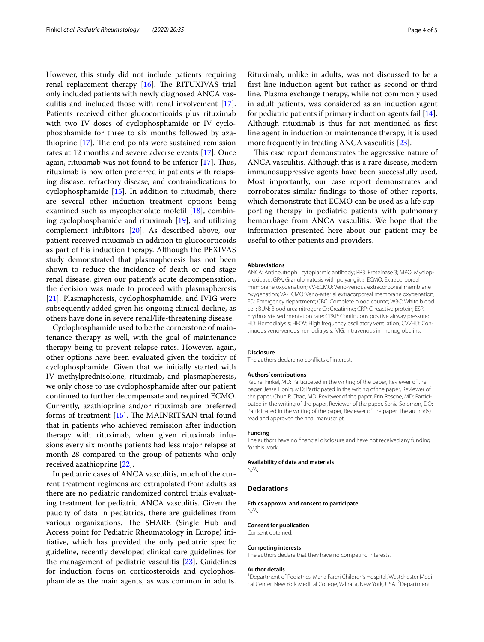However, this study did not include patients requiring renal replacement therapy  $[16]$  $[16]$  $[16]$ . The RITUXIVAS trial only included patients with newly diagnosed ANCA vasculitis and included those with renal involvement [\[17](#page-4-16)]. Patients received either glucocorticoids plus rituximab with two IV doses of cyclophosphamide or IV cyclophosphamide for three to six months followed by azathioprine  $[17]$  $[17]$ . The end points were sustained remission rates at 12 months and severe adverse events [\[17](#page-4-16)]. Once again, rituximab was not found to be inferior [[17\]](#page-4-16). Thus, rituximab is now often preferred in patients with relapsing disease, refractory disease, and contraindications to cyclophosphamide [[15](#page-4-14)]. In addition to rituximab, there are several other induction treatment options being examined such as mycophenolate mofetil [\[18\]](#page-4-17), combining cyclophosphamide and rituximab [\[19](#page-4-18)], and utilizing complement inhibitors [\[20\]](#page-4-19). As described above, our patient received rituximab in addition to glucocorticoids as part of his induction therapy. Although the PEXIVAS study demonstrated that plasmapheresis has not been shown to reduce the incidence of death or end stage renal disease, given our patient's acute decompensation, the decision was made to proceed with plasmapheresis [[21\]](#page-4-20). Plasmapheresis, cyclophosphamide, and IVIG were subsequently added given his ongoing clinical decline, as others have done in severe renal/life-threatening disease.

Cyclophosphamide used to be the cornerstone of maintenance therapy as well, with the goal of maintenance therapy being to prevent relapse rates. However, again, other options have been evaluated given the toxicity of cyclophosphamide. Given that we initially started with IV methylprednisolone, rituximab, and plasmapheresis, we only chose to use cyclophosphamide after our patient continued to further decompensate and required ECMO. Currently, azathioprine and/or rituximab are preferred forms of treatment  $[15]$  $[15]$  $[15]$ . The MAINRITSAN trial found that in patients who achieved remission after induction therapy with rituximab, when given rituximab infusions every six months patients had less major relapse at month 28 compared to the group of patients who only received azathioprine [\[22\]](#page-4-21).

In pediatric cases of ANCA vasculitis, much of the current treatment regimens are extrapolated from adults as there are no pediatric randomized control trials evaluating treatment for pediatric ANCA vasculitis. Given the paucity of data in pediatrics, there are guidelines from various organizations. The SHARE (Single Hub and Access point for Pediatric Rheumatology in Europe) initiative, which has provided the only pediatric specifc guideline, recently developed clinical care guidelines for the management of pediatric vasculitis [[23](#page-4-22)]. Guidelines for induction focus on corticosteroids and cyclophosphamide as the main agents, as was common in adults.

Rituximab, unlike in adults, was not discussed to be a frst line induction agent but rather as second or third line. Plasma exchange therapy, while not commonly used in adult patients, was considered as an induction agent for pediatric patients if primary induction agents fail [\[14](#page-4-13)]. Although rituximab is thus far not mentioned as frst line agent in induction or maintenance therapy, it is used more frequently in treating ANCA vasculitis [[23](#page-4-22)].

This case report demonstrates the aggressive nature of ANCA vasculitis. Although this is a rare disease, modern immunosuppressive agents have been successfully used. Most importantly, our case report demonstrates and corroborates similar fndings to those of other reports, which demonstrate that ECMO can be used as a life supporting therapy in pediatric patients with pulmonary hemorrhage from ANCA vasculitis. We hope that the information presented here about our patient may be useful to other patients and providers.

#### **Abbreviations**

ANCA: Antineutrophil cytoplasmic antibody; PR3: Proteinase 3; MPO: Myeloperoxidase; GPA: Granulomatosis with polyangiitis; ECMO: Extracorporeal membrane oxygenation; VV-ECMO: Veno-venous extracorporeal membrane oxygenation; VA-ECMO: Veno-arterial extracorporeal membrane oxygenation; ED: Emergency department; CBC: Complete blood counte; WBC: White blood cell; BUN: Blood urea nitrogen; Cr: Creatinine; CRP: C-reactive protein; ESR: Erythrocyte sedimentation rate; CPAP: Continuous positive airway pressure; HD: Hemodialysis; HFOV: High frequency oscillatory ventilation; CVVHD: Continuous veno-venous hemodialysis; IVIG: Intravenous immunoglobulins.

#### **Disclosure**

The authors declare no conficts of interest.

#### **Authors' contributions**

Rachel Finkel, MD: Participated in the writing of the paper, Reviewer of the paper. Jesse Honig, MD: Participated in the writing of the paper, Reviewer of the paper. Chun P. Chao, MD: Reviewer of the paper. Erin Rescoe, MD: Participated in the writing of the paper, Reviewer of the paper. Sonia Solomon, DO: Participated in the writing of the paper, Reviewer of the paper. The author(s) read and approved the fnal manuscript.

#### **Funding**

The authors have no fnancial disclosure and have not received any funding for this work.

#### **Availability of data and materials**

N/A.

#### **Declarations**

**Ethics approval and consent to participate** N/A.

## **Consent for publication**

Consent obtained.

#### **Competing interests**

The authors declare that they have no competing interests.

#### **Author details**

<sup>1</sup> Department of Pediatrics, Maria Fareri Children's Hospital, Westchester Medical Center, New York Medical College, Valhalla, New York, USA. <sup>2</sup> Department